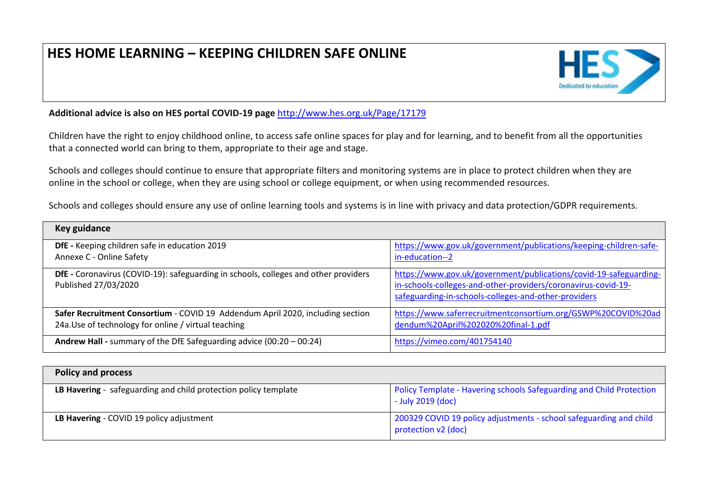## **HES HOME LEARNING – KEEPING CHILDREN SAFE ONLINE**



**Additional advice is also on HES portal COVID-19 page** <http://www.hes.org.uk/Page/17179>

Children have the right to enjoy childhood online, to access safe online spaces for play and for learning, and to benefit from all the opportunities that a connected world can bring to them, appropriate to their age and stage.

Schools and colleges should continue to ensure that appropriate filters and monitoring systems are in place to protect children when they are online in the school or college, when they are using school or college equipment, or when using recommended resources.

Schools and colleges should ensure any use of online learning tools and systems is in line with privacy and data protection/GDPR requirements.

| Key guidance                                                                                                                           |                                                                                                                                                                                            |
|----------------------------------------------------------------------------------------------------------------------------------------|--------------------------------------------------------------------------------------------------------------------------------------------------------------------------------------------|
| DfE - Keeping children safe in education 2019<br>Annexe C - Online Safety                                                              | https://www.gov.uk/government/publications/keeping-children-safe-<br>in-education--2                                                                                                       |
| DfE - Coronavirus (COVID-19): safeguarding in schools, colleges and other providers<br>Published 27/03/2020                            | https://www.gov.uk/government/publications/covid-19-safeguarding-<br>in-schools-colleges-and-other-providers/coronavirus-covid-19-<br>safeguarding-in-schools-colleges-and-other-providers |
| Safer Recruitment Consortium - COVID 19 Addendum April 2020, including section<br>24a. Use of technology for online / virtual teaching | https://www.saferrecruitmentconsortium.org/GSWP%20COVID%20ad<br>dendum%20April%202020%20final-1.pdf                                                                                        |
| Andrew Hall - summary of the DfE Safeguarding advice (00:20 - 00:24)                                                                   | https://vimeo.com/401754140                                                                                                                                                                |

| <b>Policy and process</b>                                       |                                                                                           |
|-----------------------------------------------------------------|-------------------------------------------------------------------------------------------|
| LB Havering - safeguarding and child protection policy template | Policy Template - Havering schools Safeguarding and Child Protection<br>- July 2019 (doc) |
| LB Havering - COVID 19 policy adjustment                        | 200329 COVID 19 policy adjustments - school safeguarding and child<br>protection v2 (doc) |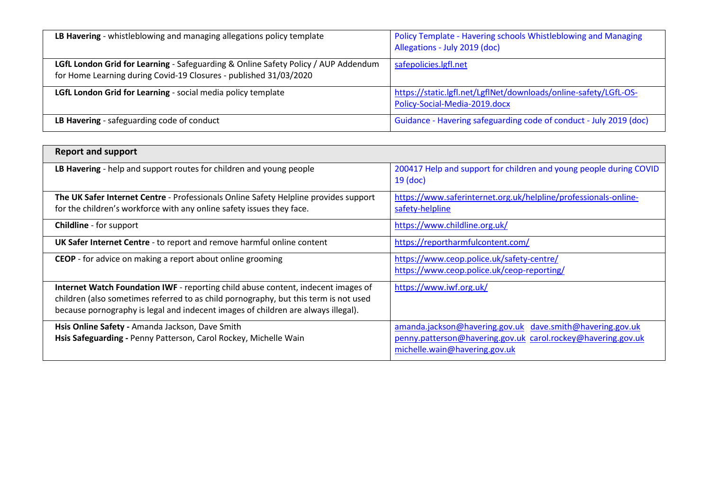| LB Havering - whistleblowing and managing allegations policy template                                                                                   | Policy Template - Havering schools Whistleblowing and Managing<br>Allegations - July 2019 (doc)   |
|---------------------------------------------------------------------------------------------------------------------------------------------------------|---------------------------------------------------------------------------------------------------|
| LGfL London Grid for Learning - Safeguarding & Online Safety Policy / AUP Addendum<br>for Home Learning during Covid-19 Closures - published 31/03/2020 | safepolicies.lgfl.net                                                                             |
| LGfL London Grid for Learning - social media policy template                                                                                            | https://static.lgfl.net/LgflNet/downloads/online-safety/LGfL-OS-<br>Policy-Social-Media-2019.docx |
| LB Havering - safeguarding code of conduct                                                                                                              | Guidance - Havering safeguarding code of conduct - July 2019 (doc)                                |

| <b>Report and support</b>                                                            |                                                                                  |
|--------------------------------------------------------------------------------------|----------------------------------------------------------------------------------|
| LB Havering - help and support routes for children and young people                  | 200417 Help and support for children and young people during COVID<br>$19$ (doc) |
| The UK Safer Internet Centre - Professionals Online Safety Helpline provides support | https://www.saferinternet.org.uk/helpline/professionals-online-                  |
| for the children's workforce with any online safety issues they face.                | safety-helpline                                                                  |
| <b>Childline</b> - for support                                                       | https://www.childline.org.uk/                                                    |
| UK Safer Internet Centre - to report and remove harmful online content               | https://reportharmfulcontent.com/                                                |
| <b>CEOP</b> - for advice on making a report about online grooming                    | https://www.ceop.police.uk/safety-centre/                                        |
|                                                                                      | https://www.ceop.police.uk/ceop-reporting/                                       |
| Internet Watch Foundation IWF - reporting child abuse content, indecent images of    | https://www.iwf.org.uk/                                                          |
| children (also sometimes referred to as child pornography, but this term is not used |                                                                                  |
| because pornography is legal and indecent images of children are always illegal).    |                                                                                  |
| Hsis Online Safety - Amanda Jackson, Dave Smith                                      | amanda.jackson@havering.gov.uk dave.smith@havering.gov.uk                        |
| Hsis Safeguarding - Penny Patterson, Carol Rockey, Michelle Wain                     | penny.patterson@havering.gov.uk carol.rockey@havering.gov.uk                     |
|                                                                                      | michelle.wain@havering.gov.uk                                                    |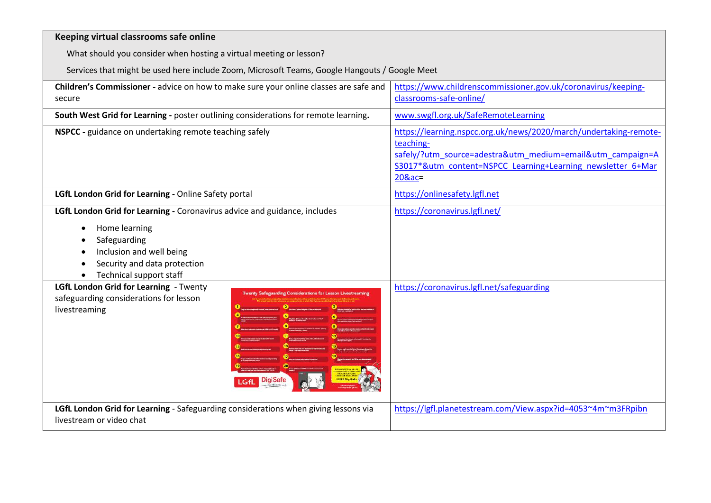| Keeping virtual classrooms safe online                                                                                                                                                                 |                                                                                                                                                                                                                     |
|--------------------------------------------------------------------------------------------------------------------------------------------------------------------------------------------------------|---------------------------------------------------------------------------------------------------------------------------------------------------------------------------------------------------------------------|
| What should you consider when hosting a virtual meeting or lesson?                                                                                                                                     |                                                                                                                                                                                                                     |
| Services that might be used here include Zoom, Microsoft Teams, Google Hangouts / Google Meet                                                                                                          |                                                                                                                                                                                                                     |
| Children's Commissioner - advice on how to make sure your online classes are safe and<br>secure                                                                                                        | https://www.childrenscommissioner.gov.uk/coronavirus/keeping-<br>classrooms-safe-online/                                                                                                                            |
| South West Grid for Learning - poster outlining considerations for remote learning.                                                                                                                    | www.swgfl.org.uk/SafeRemoteLearning                                                                                                                                                                                 |
| NSPCC - guidance on undertaking remote teaching safely                                                                                                                                                 | https://learning.nspcc.org.uk/news/2020/march/undertaking-remote-<br>teaching-<br>safely/?utm_source=adestra&utm_medium=email&utm_campaign=A<br>S3017*&utm_content=NSPCC_Learning+Learning_newsletter_6+Mar<br>20∾= |
| LGfL London Grid for Learning - Online Safety portal                                                                                                                                                   | https://onlinesafety.lgfl.net                                                                                                                                                                                       |
| LGfL London Grid for Learning - Coronavirus advice and guidance, includes<br>Home learning<br>٠<br>Safeguarding<br>Inclusion and well being<br>Security and data protection<br>Technical support staff | https://coronavirus.lgfl.net/                                                                                                                                                                                       |
| LGfL London Grid for Learning - Twenty<br>wenty Safeguarding Considerations for Lesson Li<br>safeguarding considerations for lesson<br>livestreaming                                                   | https://coronavirus.lgfl.net/safeguarding                                                                                                                                                                           |
| LGfL London Grid for Learning - Safeguarding considerations when giving lessons via<br>livestream or video chat                                                                                        | https://lgfl.planetestream.com/View.aspx?id=4053~4m~m3FRpibn                                                                                                                                                        |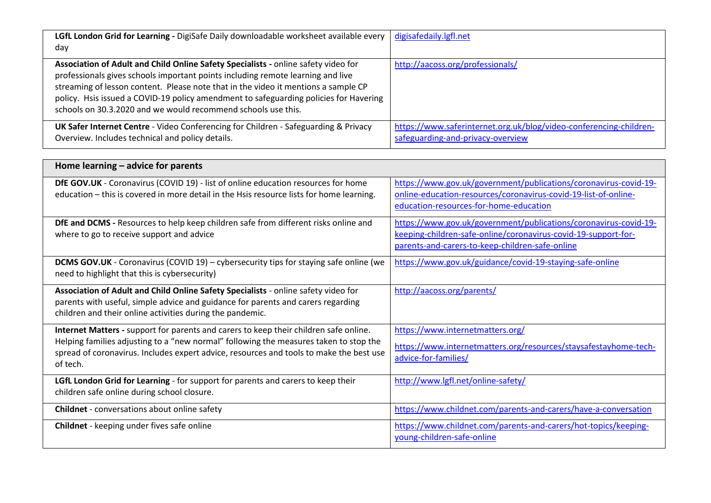| LGfL London Grid for Learning - DigiSafe Daily downloadable worksheet available every<br>day                                                                                                                                                                                                                                                                                                                          | digisafedaily.lgfl.net                                                                                  |
|-----------------------------------------------------------------------------------------------------------------------------------------------------------------------------------------------------------------------------------------------------------------------------------------------------------------------------------------------------------------------------------------------------------------------|---------------------------------------------------------------------------------------------------------|
| Association of Adult and Child Online Safety Specialists - online safety video for<br>professionals gives schools important points including remote learning and live<br>streaming of lesson content. Please note that in the video it mentions a sample CP<br>policy. Hsis issued a COVID-19 policy amendment to safeguarding policies for Havering<br>schools on 30.3.2020 and we would recommend schools use this. | http://aacoss.org/professionals/                                                                        |
| UK Safer Internet Centre - Video Conferencing for Children - Safeguarding & Privacy<br>Overview. Includes technical and policy details.                                                                                                                                                                                                                                                                               | https://www.saferinternet.org.uk/blog/video-conferencing-children-<br>safeguarding-and-privacy-overview |

| Home learning – advice for parents                                                                                                                                                                                                                                                    |                                                                                                                                                                                       |
|---------------------------------------------------------------------------------------------------------------------------------------------------------------------------------------------------------------------------------------------------------------------------------------|---------------------------------------------------------------------------------------------------------------------------------------------------------------------------------------|
| DfE GOV.UK - Coronavirus (COVID 19) - list of online education resources for home<br>education - this is covered in more detail in the Hsis resource lists for home learning.                                                                                                         | https://www.gov.uk/government/publications/coronavirus-covid-19-<br>online-education-resources/coronavirus-covid-19-list-of-online-<br>education-resources-for-home-education         |
| DfE and DCMS - Resources to help keep children safe from different risks online and<br>where to go to receive support and advice                                                                                                                                                      | https://www.gov.uk/government/publications/coronavirus-covid-19-<br>keeping-children-safe-online/coronavirus-covid-19-support-for-<br>parents-and-carers-to-keep-children-safe-online |
| <b>DCMS GOV.UK</b> - Coronavirus (COVID 19) – cybersecurity tips for staying safe online (we<br>need to highlight that this is cybersecurity)                                                                                                                                         | https://www.gov.uk/guidance/covid-19-staying-safe-online                                                                                                                              |
| Association of Adult and Child Online Safety Specialists - online safety video for<br>parents with useful, simple advice and guidance for parents and carers regarding<br>children and their online activities during the pandemic.                                                   | http://aacoss.org/parents/                                                                                                                                                            |
| Internet Matters - support for parents and carers to keep their children safe online.<br>Helping families adjusting to a "new normal" following the measures taken to stop the<br>spread of coronavirus. Includes expert advice, resources and tools to make the best use<br>of tech. | https://www.internetmatters.org/<br>https://www.internetmatters.org/resources/staysafestayhome-tech-<br>advice-for-families/                                                          |
| LGfL London Grid for Learning - for support for parents and carers to keep their<br>children safe online during school closure.                                                                                                                                                       | http://www.lgfl.net/online-safety/                                                                                                                                                    |
| <b>Childnet</b> - conversations about online safety                                                                                                                                                                                                                                   | https://www.childnet.com/parents-and-carers/have-a-conversation                                                                                                                       |
| <b>Childnet</b> - keeping under fives safe online                                                                                                                                                                                                                                     | https://www.childnet.com/parents-and-carers/hot-topics/keeping-<br>young-children-safe-online                                                                                         |